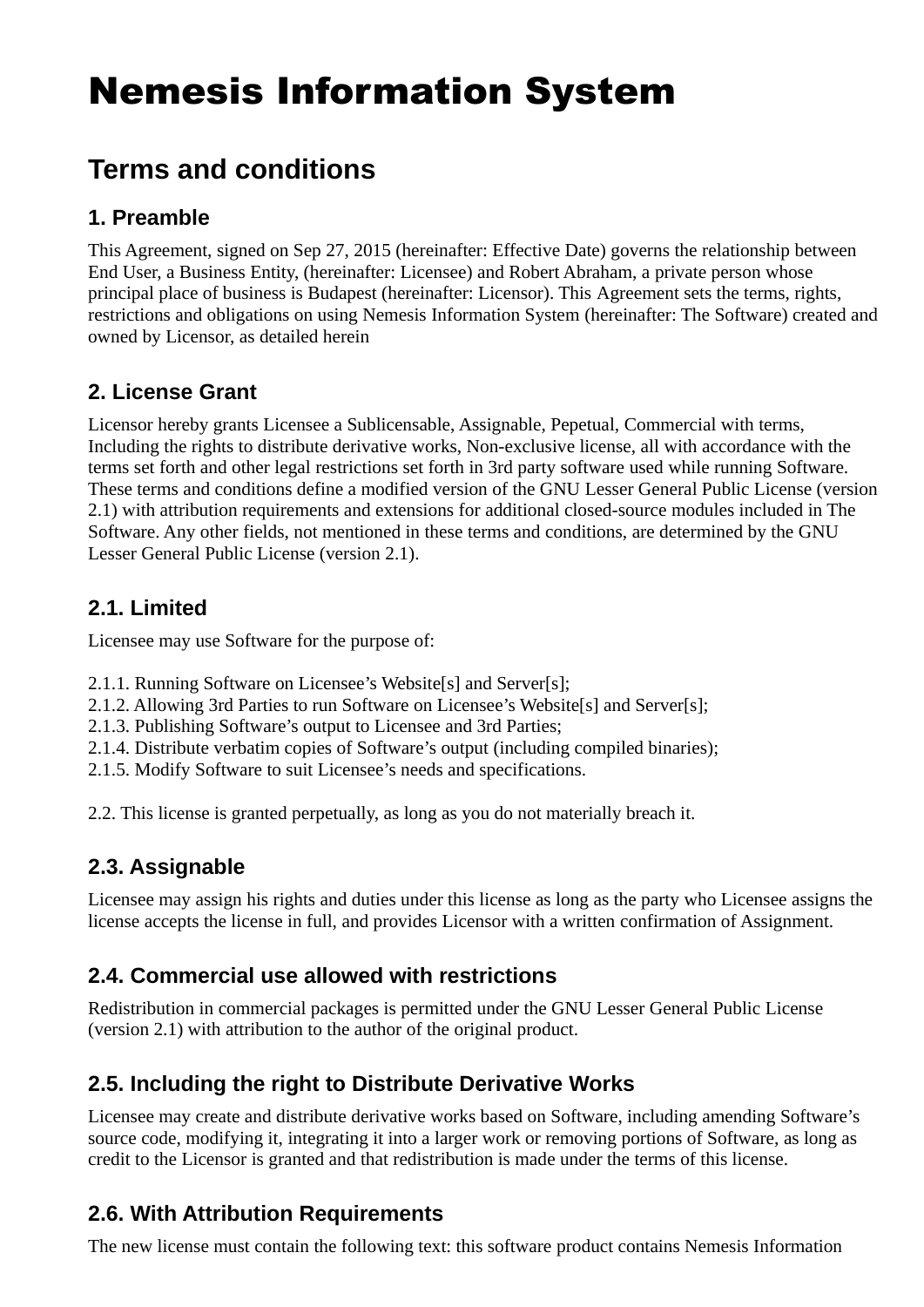## Nemesis Information System

## **Terms and conditions**

#### **1. Preamble**

This Agreement, signed on Sep 27, 2015 (hereinafter: Effective Date) governs the relationship between End User, a Business Entity, (hereinafter: Licensee) and Robert Abraham, a private person whose principal place of business is Budapest (hereinafter: Licensor). This Agreement sets the terms, rights, restrictions and obligations on using Nemesis Information System (hereinafter: The Software) created and owned by Licensor, as detailed herein

#### **2. License Grant**

Licensor hereby grants Licensee a Sublicensable, Assignable, Pepetual, Commercial with terms, Including the rights to distribute derivative works, Non-exclusive license, all with accordance with the terms set forth and other legal restrictions set forth in 3rd party software used while running Software. These terms and conditions define a modified version of the GNU Lesser General Public License (version 2.1) with attribution requirements and extensions for additional closed-source modules included in The Software. Any other fields, not mentioned in these terms and conditions, are determined by the GNU Lesser General Public License (version 2.1).

#### **2.1. Limited**

Licensee may use Software for the purpose of:

- 2.1.1. Running Software on Licensee's Website[s] and Server[s];
- 2.1.2. Allowing 3rd Parties to run Software on Licensee's Website[s] and Server[s];
- 2.1.3. Publishing Software's output to Licensee and 3rd Parties;
- 2.1.4. Distribute verbatim copies of Software's output (including compiled binaries);
- 2.1.5. Modify Software to suit Licensee's needs and specifications.

2.2. This license is granted perpetually, as long as you do not materially breach it.

#### **2.3. Assignable**

Licensee may assign his rights and duties under this license as long as the party who Licensee assigns the license accepts the license in full, and provides Licensor with a written confirmation of Assignment.

#### **2.4. Commercial use allowed with restrictions**

Redistribution in commercial packages is permitted under the GNU Lesser General Public License (version 2.1) with attribution to the author of the original product.

#### **2.5. Including the right to Distribute Derivative Works**

Licensee may create and distribute derivative works based on Software, including amending Software's source code, modifying it, integrating it into a larger work or removing portions of Software, as long as credit to the Licensor is granted and that redistribution is made under the terms of this license.

#### **2.6. With Attribution Requirements**

The new license must contain the following text: this software product contains Nemesis Information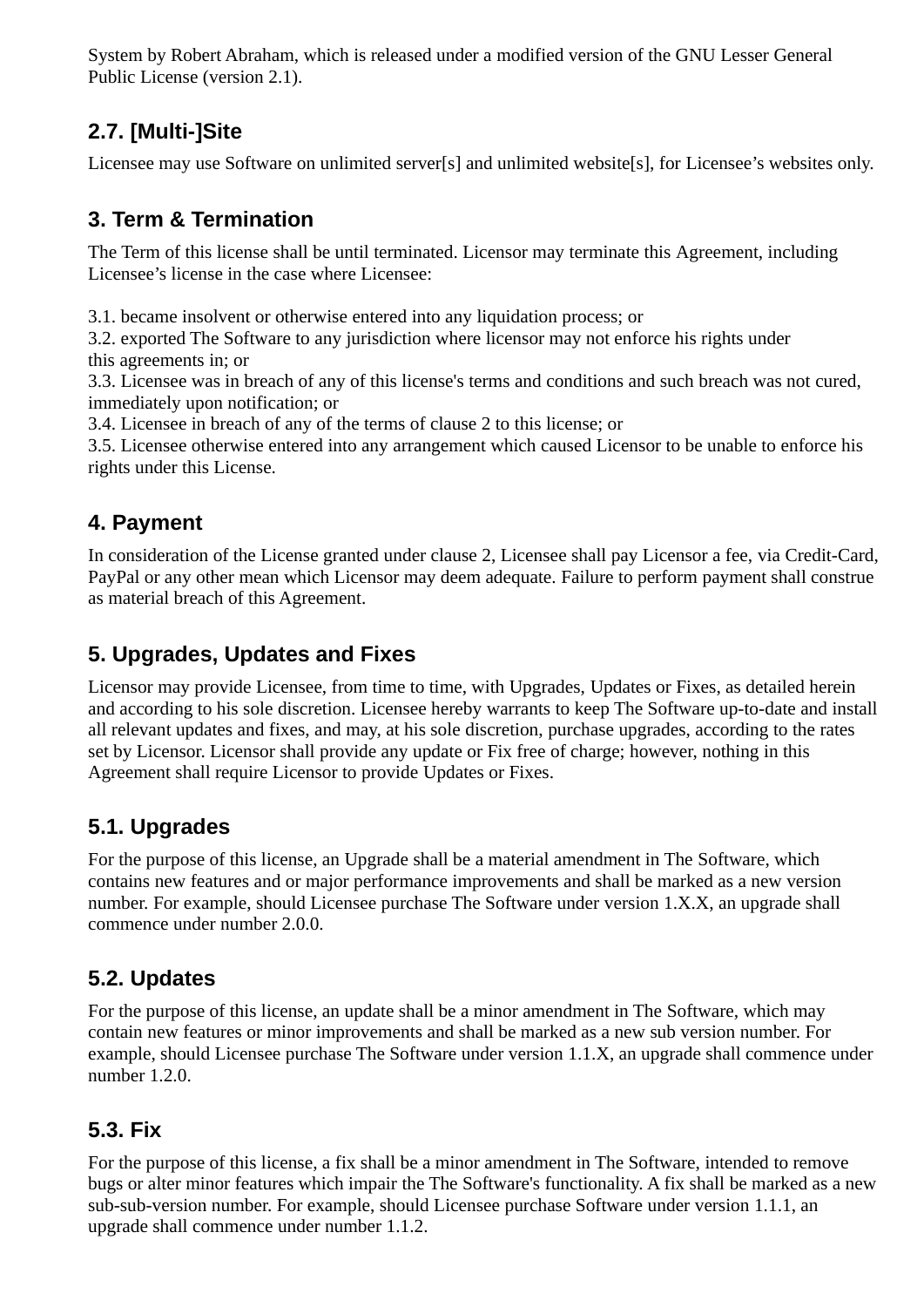System by Robert Abraham, which is released under a modified version of the GNU Lesser General Public License (version 2.1).

#### **2.7. [Multi-]Site**

Licensee may use Software on unlimited server[s] and unlimited website[s], for Licensee's websites only.

#### **3. Term & Termination**

The Term of this license shall be until terminated. Licensor may terminate this Agreement, including Licensee's license in the case where Licensee:

3.1. became insolvent or otherwise entered into any liquidation process; or

3.2. exported The Software to any jurisdiction where licensor may not enforce his rights under this agreements in; or

3.3. Licensee was in breach of any of this license's terms and conditions and such breach was not cured, immediately upon notification; or

3.4. Licensee in breach of any of the terms of clause 2 to this license; or

3.5. Licensee otherwise entered into any arrangement which caused Licensor to be unable to enforce his rights under this License.

#### **4. Payment**

In consideration of the License granted under clause 2, Licensee shall pay Licensor a fee, via Credit-Card, PayPal or any other mean which Licensor may deem adequate. Failure to perform payment shall construe as material breach of this Agreement.

#### **5. Upgrades, Updates and Fixes**

Licensor may provide Licensee, from time to time, with Upgrades, Updates or Fixes, as detailed herein and according to his sole discretion. Licensee hereby warrants to keep The Software up-to-date and install all relevant updates and fixes, and may, at his sole discretion, purchase upgrades, according to the rates set by Licensor. Licensor shall provide any update or Fix free of charge; however, nothing in this Agreement shall require Licensor to provide Updates or Fixes.

#### **5.1. Upgrades**

For the purpose of this license, an Upgrade shall be a material amendment in The Software, which contains new features and or major performance improvements and shall be marked as a new version number. For example, should Licensee purchase The Software under version 1.X.X, an upgrade shall commence under number 2.0.0.

#### **5.2. Updates**

For the purpose of this license, an update shall be a minor amendment in The Software, which may contain new features or minor improvements and shall be marked as a new sub version number. For example, should Licensee purchase The Software under version 1.1.X, an upgrade shall commence under number 1.2.0.

#### **5.3. Fix**

For the purpose of this license, a fix shall be a minor amendment in The Software, intended to remove bugs or alter minor features which impair the The Software's functionality. A fix shall be marked as a new sub-sub-version number. For example, should Licensee purchase Software under version 1.1.1, an upgrade shall commence under number 1.1.2.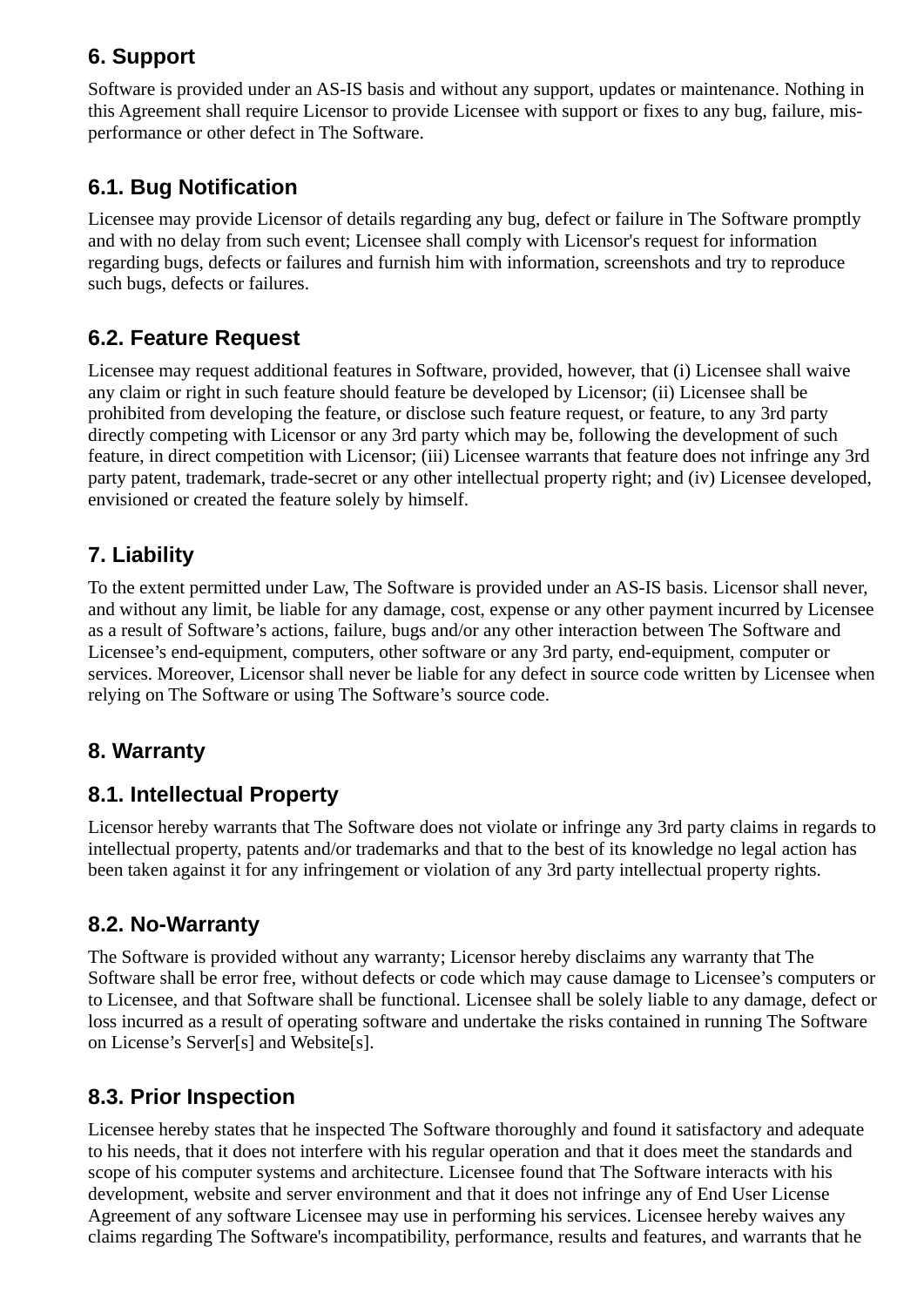#### **6. Support**

Software is provided under an AS-IS basis and without any support, updates or maintenance. Nothing in this Agreement shall require Licensor to provide Licensee with support or fixes to any bug, failure, misperformance or other defect in The Software.

#### **6.1. Bug Notification**

Licensee may provide Licensor of details regarding any bug, defect or failure in The Software promptly and with no delay from such event; Licensee shall comply with Licensor's request for information regarding bugs, defects or failures and furnish him with information, screenshots and try to reproduce such bugs, defects or failures.

#### **6.2. Feature Request**

Licensee may request additional features in Software, provided, however, that (i) Licensee shall waive any claim or right in such feature should feature be developed by Licensor; (ii) Licensee shall be prohibited from developing the feature, or disclose such feature request, or feature, to any 3rd party directly competing with Licensor or any 3rd party which may be, following the development of such feature, in direct competition with Licensor; (iii) Licensee warrants that feature does not infringe any 3rd party patent, trademark, trade-secret or any other intellectual property right; and (iv) Licensee developed, envisioned or created the feature solely by himself.

#### **7. Liability**

To the extent permitted under Law, The Software is provided under an AS-IS basis. Licensor shall never, and without any limit, be liable for any damage, cost, expense or any other payment incurred by Licensee as a result of Software's actions, failure, bugs and/or any other interaction between The Software and Licensee's end-equipment, computers, other software or any 3rd party, end-equipment, computer or services. Moreover, Licensor shall never be liable for any defect in source code written by Licensee when relying on The Software or using The Software's source code.

#### **8. Warranty**

#### **8.1. Intellectual Property**

Licensor hereby warrants that The Software does not violate or infringe any 3rd party claims in regards to intellectual property, patents and/or trademarks and that to the best of its knowledge no legal action has been taken against it for any infringement or violation of any 3rd party intellectual property rights.

#### **8.2. No-Warranty**

The Software is provided without any warranty; Licensor hereby disclaims any warranty that The Software shall be error free, without defects or code which may cause damage to Licensee's computers or to Licensee, and that Software shall be functional. Licensee shall be solely liable to any damage, defect or loss incurred as a result of operating software and undertake the risks contained in running The Software on License's Server[s] and Website[s].

#### **8.3. Prior Inspection**

Licensee hereby states that he inspected The Software thoroughly and found it satisfactory and adequate to his needs, that it does not interfere with his regular operation and that it does meet the standards and scope of his computer systems and architecture. Licensee found that The Software interacts with his development, website and server environment and that it does not infringe any of End User License Agreement of any software Licensee may use in performing his services. Licensee hereby waives any claims regarding The Software's incompatibility, performance, results and features, and warrants that he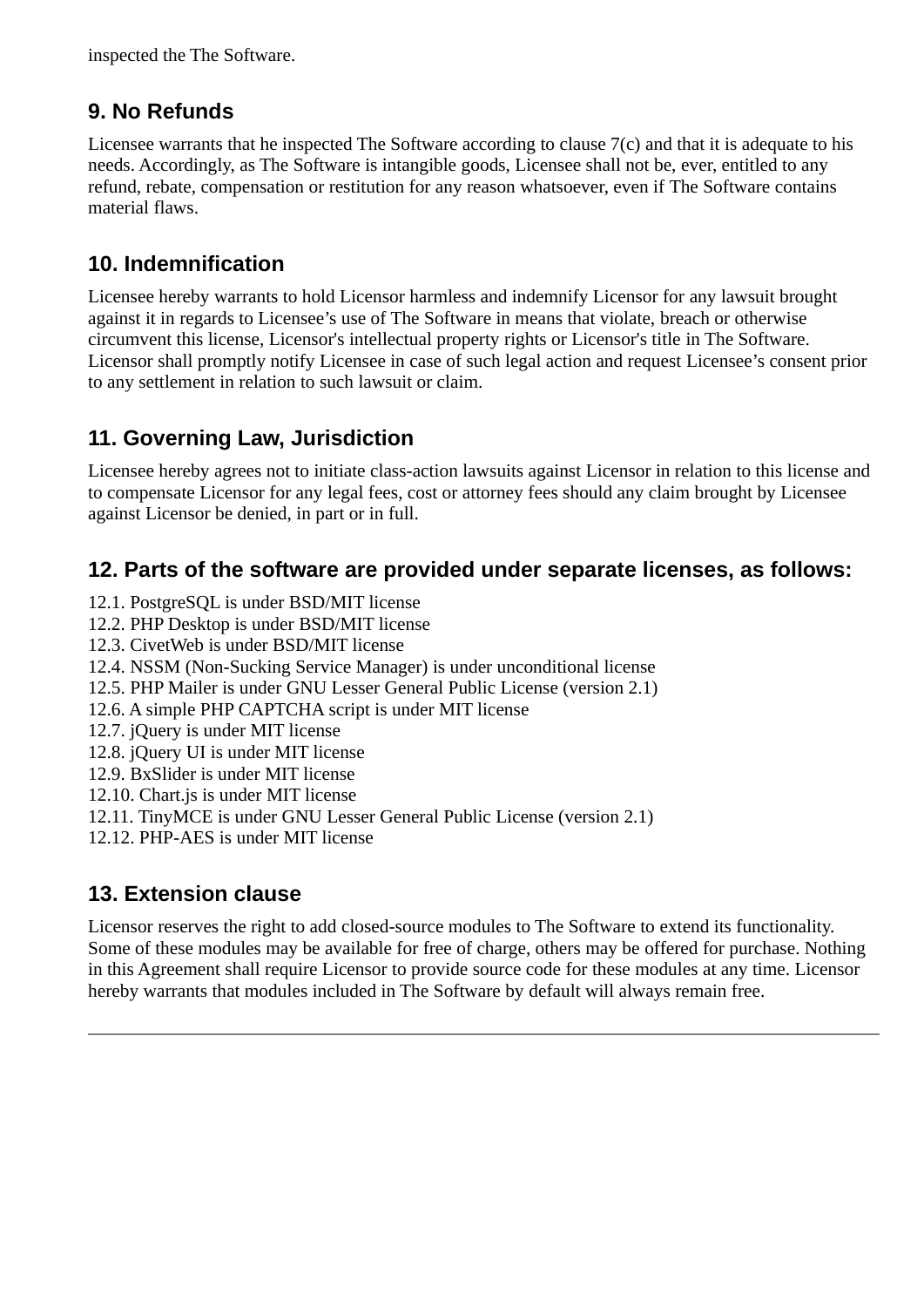inspected the The Software.

#### **9. No Refunds**

Licensee warrants that he inspected The Software according to clause 7(c) and that it is adequate to his needs. Accordingly, as The Software is intangible goods, Licensee shall not be, ever, entitled to any refund, rebate, compensation or restitution for any reason whatsoever, even if The Software contains material flaws.

#### **10. Indemnification**

Licensee hereby warrants to hold Licensor harmless and indemnify Licensor for any lawsuit brought against it in regards to Licensee's use of The Software in means that violate, breach or otherwise circumvent this license, Licensor's intellectual property rights or Licensor's title in The Software. Licensor shall promptly notify Licensee in case of such legal action and request Licensee's consent prior to any settlement in relation to such lawsuit or claim.

#### **11. Governing Law, Jurisdiction**

Licensee hereby agrees not to initiate class-action lawsuits against Licensor in relation to this license and to compensate Licensor for any legal fees, cost or attorney fees should any claim brought by Licensee against Licensor be denied, in part or in full.

#### **12. Parts of the software are provided under separate licenses, as follows:**

- 12.1. PostgreSQL is under BSD/MIT license
- 12.2. PHP Desktop is under BSD/MIT license
- 12.3. CivetWeb is under BSD/MIT license
- 12.4. NSSM (Non-Sucking Service Manager) is under unconditional license
- 12.5. PHP Mailer is under GNU Lesser General Public License (version 2.1)
- 12.6. A simple PHP CAPTCHA script is under MIT license
- 12.7. jQuery is under MIT license
- 12.8. jQuery UI is under MIT license
- 12.9. BxSlider is under MIT license
- 12.10. Chart.js is under MIT license
- 12.11. TinyMCE is under GNU Lesser General Public License (version 2.1)
- 12.12. PHP-AES is under MIT license

#### **13. Extension clause**

Licensor reserves the right to add closed-source modules to The Software to extend its functionality. Some of these modules may be available for free of charge, others may be offered for purchase. Nothing in this Agreement shall require Licensor to provide source code for these modules at any time. Licensor hereby warrants that modules included in The Software by default will always remain free.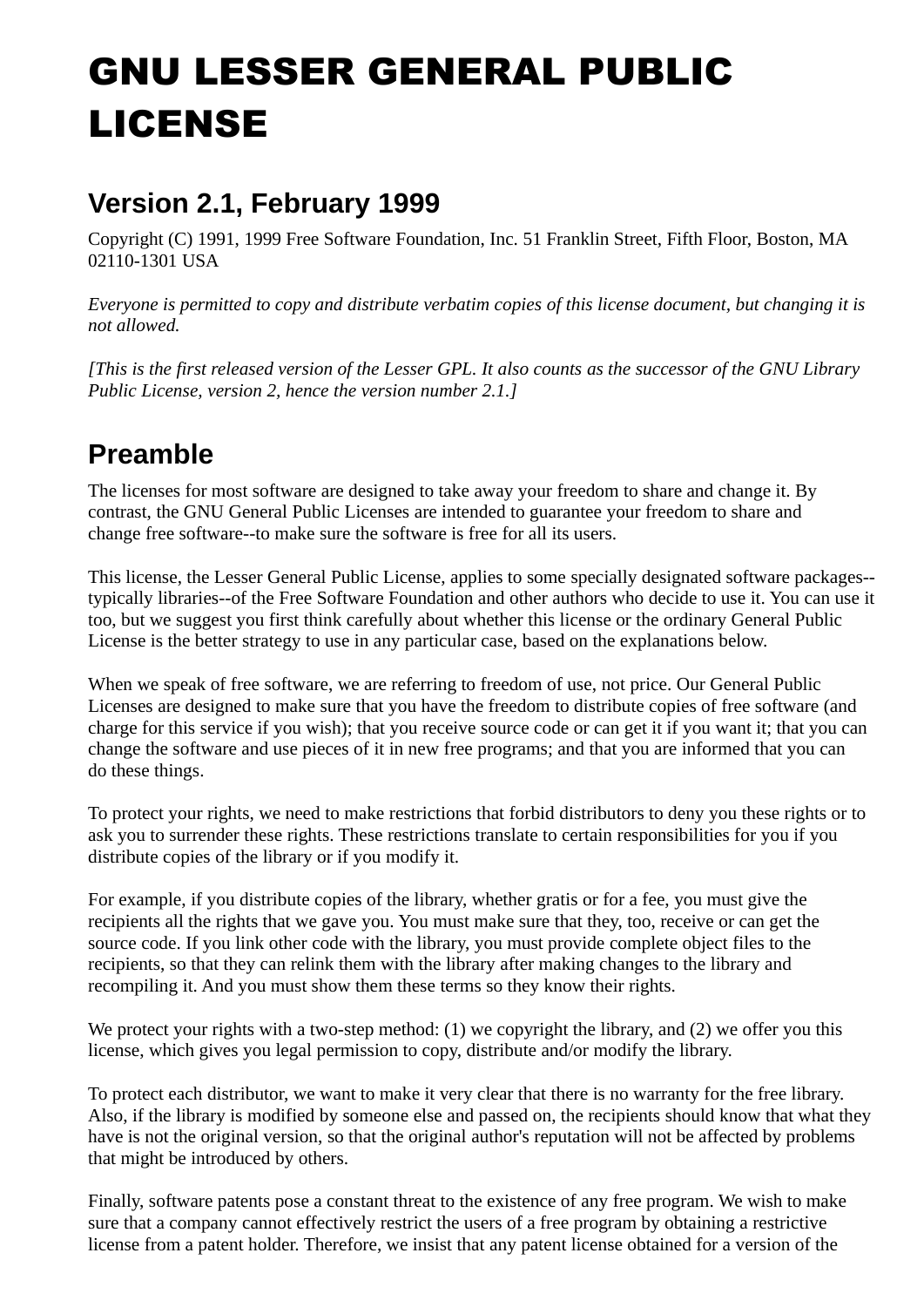# GNU LESSER GENERAL PUBLIC LICENSE

## **Version 2.1, February 1999**

Copyright (C) 1991, 1999 Free Software Foundation, Inc. 51 Franklin Street, Fifth Floor, Boston, MA 02110-1301 USA

*Everyone is permitted to copy and distribute verbatim copies of this license document, but changing it is not allowed.*

*[This is the first released version of the Lesser GPL. It also counts as the successor of the GNU Library Public License, version 2, hence the version number 2.1.]*

## **Preamble**

The licenses for most software are designed to take away your freedom to share and change it. By contrast, the GNU General Public Licenses are intended to guarantee your freedom to share and change free software--to make sure the software is free for all its users.

This license, the Lesser General Public License, applies to some specially designated software packages- typically libraries--of the Free Software Foundation and other authors who decide to use it. You can use it too, but we suggest you first think carefully about whether this license or the ordinary General Public License is the better strategy to use in any particular case, based on the explanations below.

When we speak of free software, we are referring to freedom of use, not price. Our General Public Licenses are designed to make sure that you have the freedom to distribute copies of free software (and charge for this service if you wish); that you receive source code or can get it if you want it; that you can change the software and use pieces of it in new free programs; and that you are informed that you can do these things.

To protect your rights, we need to make restrictions that forbid distributors to deny you these rights or to ask you to surrender these rights. These restrictions translate to certain responsibilities for you if you distribute copies of the library or if you modify it.

For example, if you distribute copies of the library, whether gratis or for a fee, you must give the recipients all the rights that we gave you. You must make sure that they, too, receive or can get the source code. If you link other code with the library, you must provide complete object files to the recipients, so that they can relink them with the library after making changes to the library and recompiling it. And you must show them these terms so they know their rights.

We protect your rights with a two-step method: (1) we copyright the library, and (2) we offer you this license, which gives you legal permission to copy, distribute and/or modify the library.

To protect each distributor, we want to make it very clear that there is no warranty for the free library. Also, if the library is modified by someone else and passed on, the recipients should know that what they have is not the original version, so that the original author's reputation will not be affected by problems that might be introduced by others.

Finally, software patents pose a constant threat to the existence of any free program. We wish to make sure that a company cannot effectively restrict the users of a free program by obtaining a restrictive license from a patent holder. Therefore, we insist that any patent license obtained for a version of the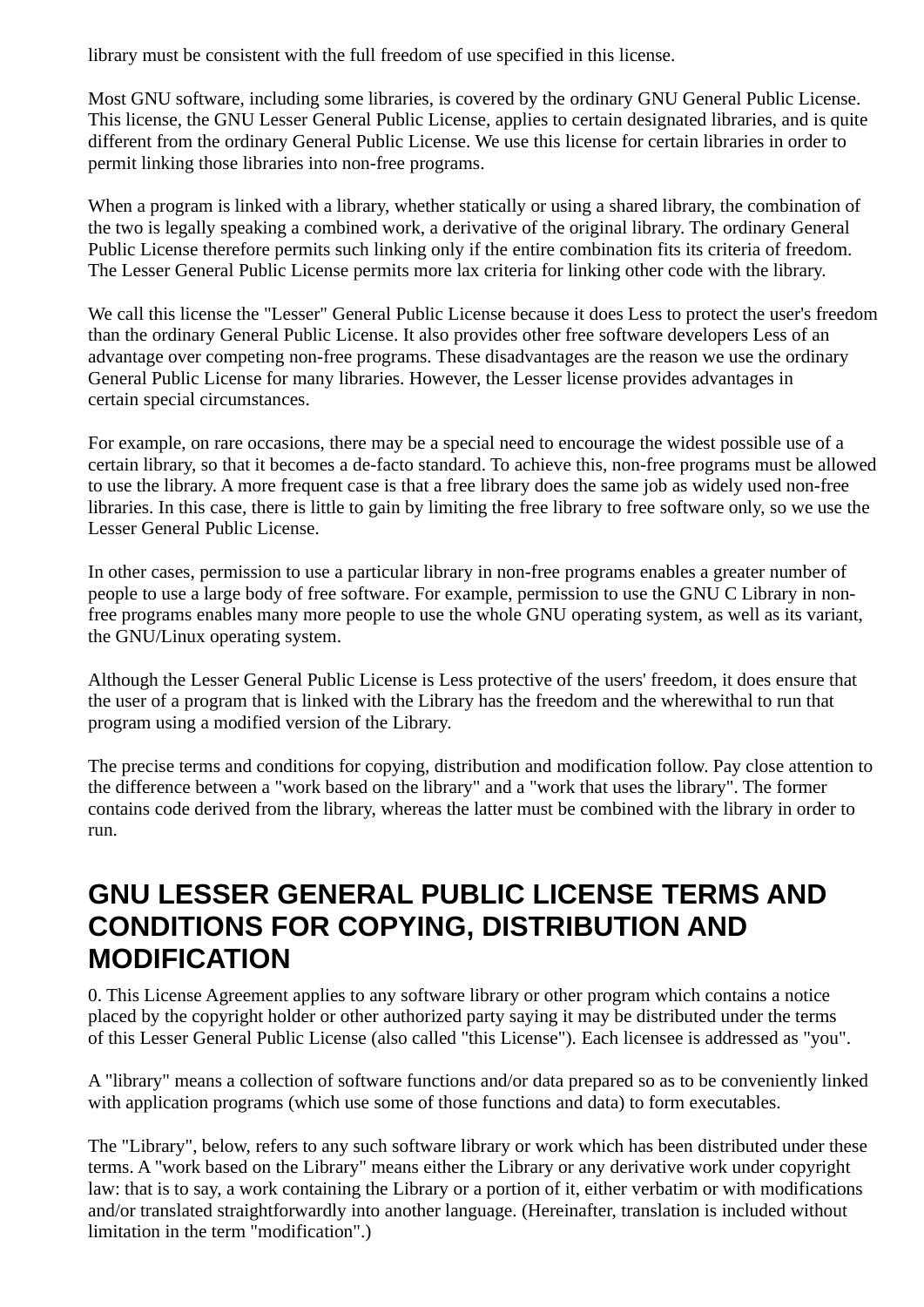library must be consistent with the full freedom of use specified in this license.

Most GNU software, including some libraries, is covered by the ordinary GNU General Public License. This license, the GNU Lesser General Public License, applies to certain designated libraries, and is quite different from the ordinary General Public License. We use this license for certain libraries in order to permit linking those libraries into non-free programs.

When a program is linked with a library, whether statically or using a shared library, the combination of the two is legally speaking a combined work, a derivative of the original library. The ordinary General Public License therefore permits such linking only if the entire combination fits its criteria of freedom. The Lesser General Public License permits more lax criteria for linking other code with the library.

We call this license the "Lesser" General Public License because it does Less to protect the user's freedom than the ordinary General Public License. It also provides other free software developers Less of an advantage over competing non-free programs. These disadvantages are the reason we use the ordinary General Public License for many libraries. However, the Lesser license provides advantages in certain special circumstances.

For example, on rare occasions, there may be a special need to encourage the widest possible use of a certain library, so that it becomes a de-facto standard. To achieve this, non-free programs must be allowed to use the library. A more frequent case is that a free library does the same job as widely used non-free libraries. In this case, there is little to gain by limiting the free library to free software only, so we use the Lesser General Public License.

In other cases, permission to use a particular library in non-free programs enables a greater number of people to use a large body of free software. For example, permission to use the GNU C Library in nonfree programs enables many more people to use the whole GNU operating system, as well as its variant, the GNU/Linux operating system.

Although the Lesser General Public License is Less protective of the users' freedom, it does ensure that the user of a program that is linked with the Library has the freedom and the wherewithal to run that program using a modified version of the Library.

The precise terms and conditions for copying, distribution and modification follow. Pay close attention to the difference between a "work based on the library" and a "work that uses the library". The former contains code derived from the library, whereas the latter must be combined with the library in order to run.

### **GNU LESSER GENERAL PUBLIC LICENSE TERMS AND CONDITIONS FOR COPYING, DISTRIBUTION AND MODIFICATION**

0. This License Agreement applies to any software library or other program which contains a notice placed by the copyright holder or other authorized party saying it may be distributed under the terms of this Lesser General Public License (also called "this License"). Each licensee is addressed as "you".

A "library" means a collection of software functions and/or data prepared so as to be conveniently linked with application programs (which use some of those functions and data) to form executables.

The "Library", below, refers to any such software library or work which has been distributed under these terms. A "work based on the Library" means either the Library or any derivative work under copyright law: that is to say, a work containing the Library or a portion of it, either verbatim or with modifications and/or translated straightforwardly into another language. (Hereinafter, translation is included without limitation in the term "modification".)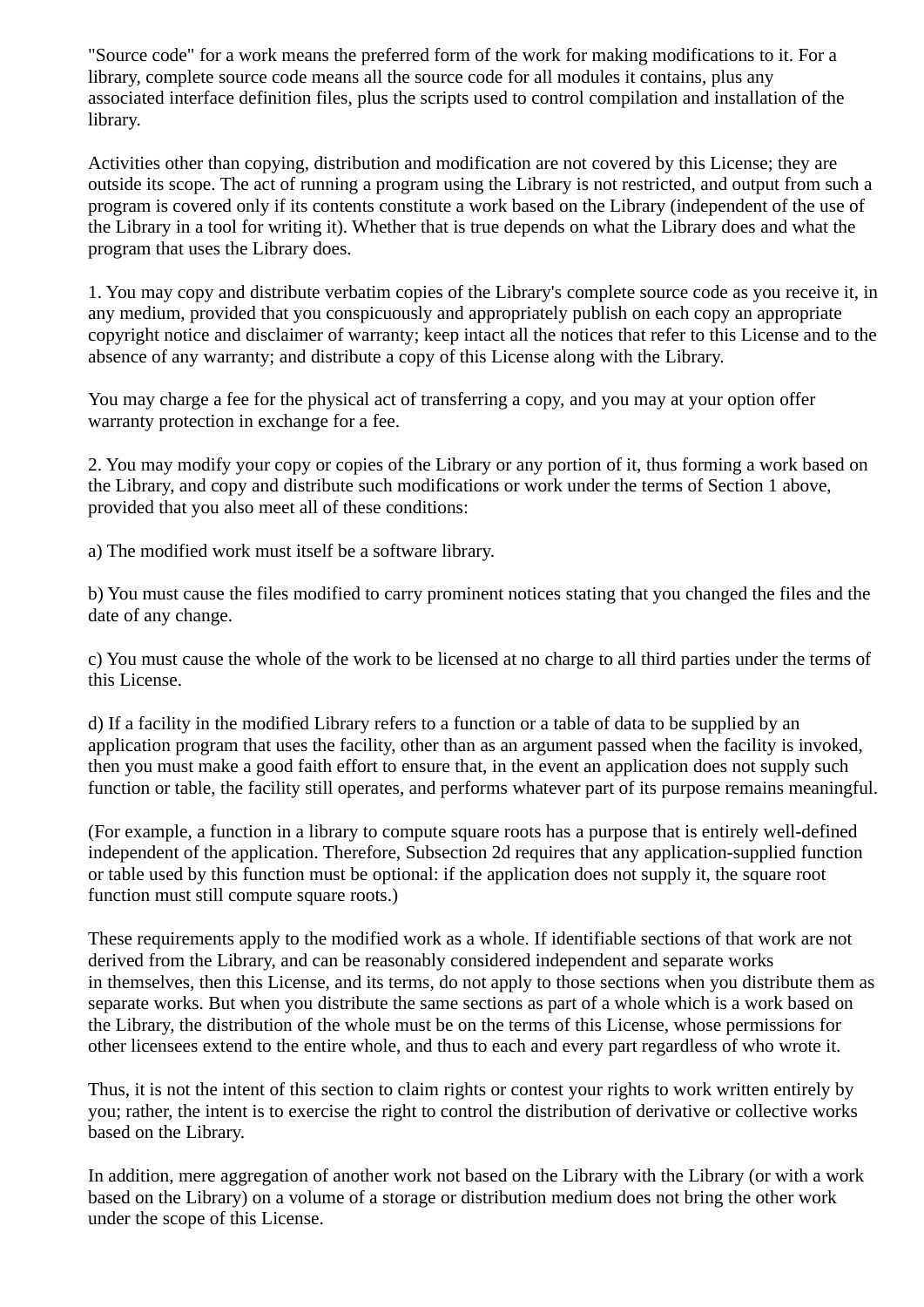"Source code" for a work means the preferred form of the work for making modifications to it. For a library, complete source code means all the source code for all modules it contains, plus any associated interface definition files, plus the scripts used to control compilation and installation of the library.

Activities other than copying, distribution and modification are not covered by this License; they are outside its scope. The act of running a program using the Library is not restricted, and output from such a program is covered only if its contents constitute a work based on the Library (independent of the use of the Library in a tool for writing it). Whether that is true depends on what the Library does and what the program that uses the Library does.

1. You may copy and distribute verbatim copies of the Library's complete source code as you receive it, in any medium, provided that you conspicuously and appropriately publish on each copy an appropriate copyright notice and disclaimer of warranty; keep intact all the notices that refer to this License and to the absence of any warranty; and distribute a copy of this License along with the Library.

You may charge a fee for the physical act of transferring a copy, and you may at your option offer warranty protection in exchange for a fee.

2. You may modify your copy or copies of the Library or any portion of it, thus forming a work based on the Library, and copy and distribute such modifications or work under the terms of Section 1 above, provided that you also meet all of these conditions:

a) The modified work must itself be a software library.

b) You must cause the files modified to carry prominent notices stating that you changed the files and the date of any change.

c) You must cause the whole of the work to be licensed at no charge to all third parties under the terms of this License.

d) If a facility in the modified Library refers to a function or a table of data to be supplied by an application program that uses the facility, other than as an argument passed when the facility is invoked, then you must make a good faith effort to ensure that, in the event an application does not supply such function or table, the facility still operates, and performs whatever part of its purpose remains meaningful.

(For example, a function in a library to compute square roots has a purpose that is entirely well-defined independent of the application. Therefore, Subsection 2d requires that any application-supplied function or table used by this function must be optional: if the application does not supply it, the square root function must still compute square roots.)

These requirements apply to the modified work as a whole. If identifiable sections of that work are not derived from the Library, and can be reasonably considered independent and separate works in themselves, then this License, and its terms, do not apply to those sections when you distribute them as separate works. But when you distribute the same sections as part of a whole which is a work based on the Library, the distribution of the whole must be on the terms of this License, whose permissions for other licensees extend to the entire whole, and thus to each and every part regardless of who wrote it.

Thus, it is not the intent of this section to claim rights or contest your rights to work written entirely by you; rather, the intent is to exercise the right to control the distribution of derivative or collective works based on the Library.

In addition, mere aggregation of another work not based on the Library with the Library (or with a work based on the Library) on a volume of a storage or distribution medium does not bring the other work under the scope of this License.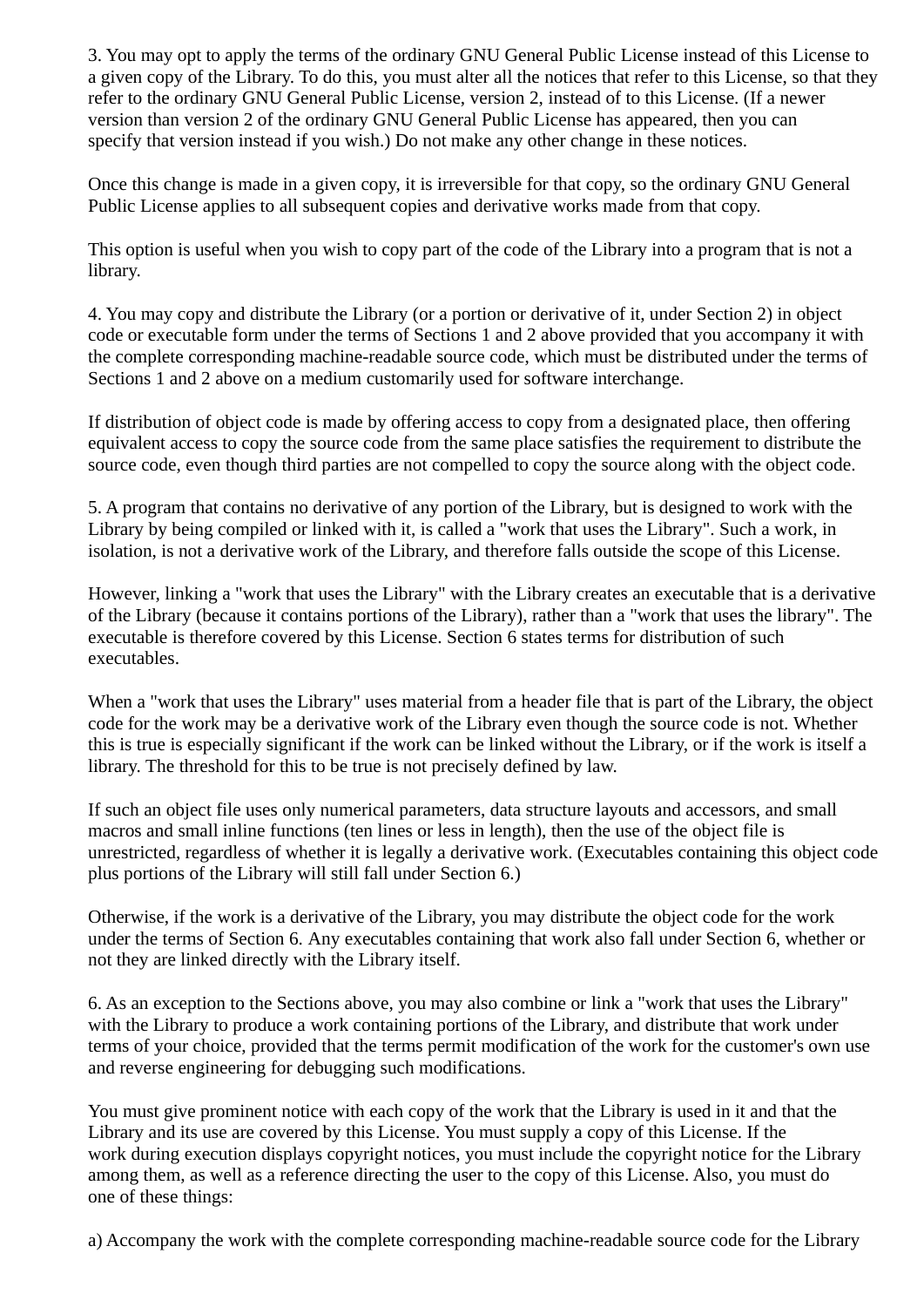3. You may opt to apply the terms of the ordinary GNU General Public License instead of this License to a given copy of the Library. To do this, you must alter all the notices that refer to this License, so that they refer to the ordinary GNU General Public License, version 2, instead of to this License. (If a newer version than version 2 of the ordinary GNU General Public License has appeared, then you can specify that version instead if you wish.) Do not make any other change in these notices.

Once this change is made in a given copy, it is irreversible for that copy, so the ordinary GNU General Public License applies to all subsequent copies and derivative works made from that copy.

This option is useful when you wish to copy part of the code of the Library into a program that is not a library.

4. You may copy and distribute the Library (or a portion or derivative of it, under Section 2) in object code or executable form under the terms of Sections 1 and 2 above provided that you accompany it with the complete corresponding machine-readable source code, which must be distributed under the terms of Sections 1 and 2 above on a medium customarily used for software interchange.

If distribution of object code is made by offering access to copy from a designated place, then offering equivalent access to copy the source code from the same place satisfies the requirement to distribute the source code, even though third parties are not compelled to copy the source along with the object code.

5. A program that contains no derivative of any portion of the Library, but is designed to work with the Library by being compiled or linked with it, is called a "work that uses the Library". Such a work, in isolation, is not a derivative work of the Library, and therefore falls outside the scope of this License.

However, linking a "work that uses the Library" with the Library creates an executable that is a derivative of the Library (because it contains portions of the Library), rather than a "work that uses the library". The executable is therefore covered by this License. Section 6 states terms for distribution of such executables.

When a "work that uses the Library" uses material from a header file that is part of the Library, the object code for the work may be a derivative work of the Library even though the source code is not. Whether this is true is especially significant if the work can be linked without the Library, or if the work is itself a library. The threshold for this to be true is not precisely defined by law.

If such an object file uses only numerical parameters, data structure layouts and accessors, and small macros and small inline functions (ten lines or less in length), then the use of the object file is unrestricted, regardless of whether it is legally a derivative work. (Executables containing this object code plus portions of the Library will still fall under Section 6.)

Otherwise, if the work is a derivative of the Library, you may distribute the object code for the work under the terms of Section 6. Any executables containing that work also fall under Section 6, whether or not they are linked directly with the Library itself.

6. As an exception to the Sections above, you may also combine or link a "work that uses the Library" with the Library to produce a work containing portions of the Library, and distribute that work under terms of your choice, provided that the terms permit modification of the work for the customer's own use and reverse engineering for debugging such modifications.

You must give prominent notice with each copy of the work that the Library is used in it and that the Library and its use are covered by this License. You must supply a copy of this License. If the work during execution displays copyright notices, you must include the copyright notice for the Library among them, as well as a reference directing the user to the copy of this License. Also, you must do one of these things:

a) Accompany the work with the complete corresponding machine-readable source code for the Library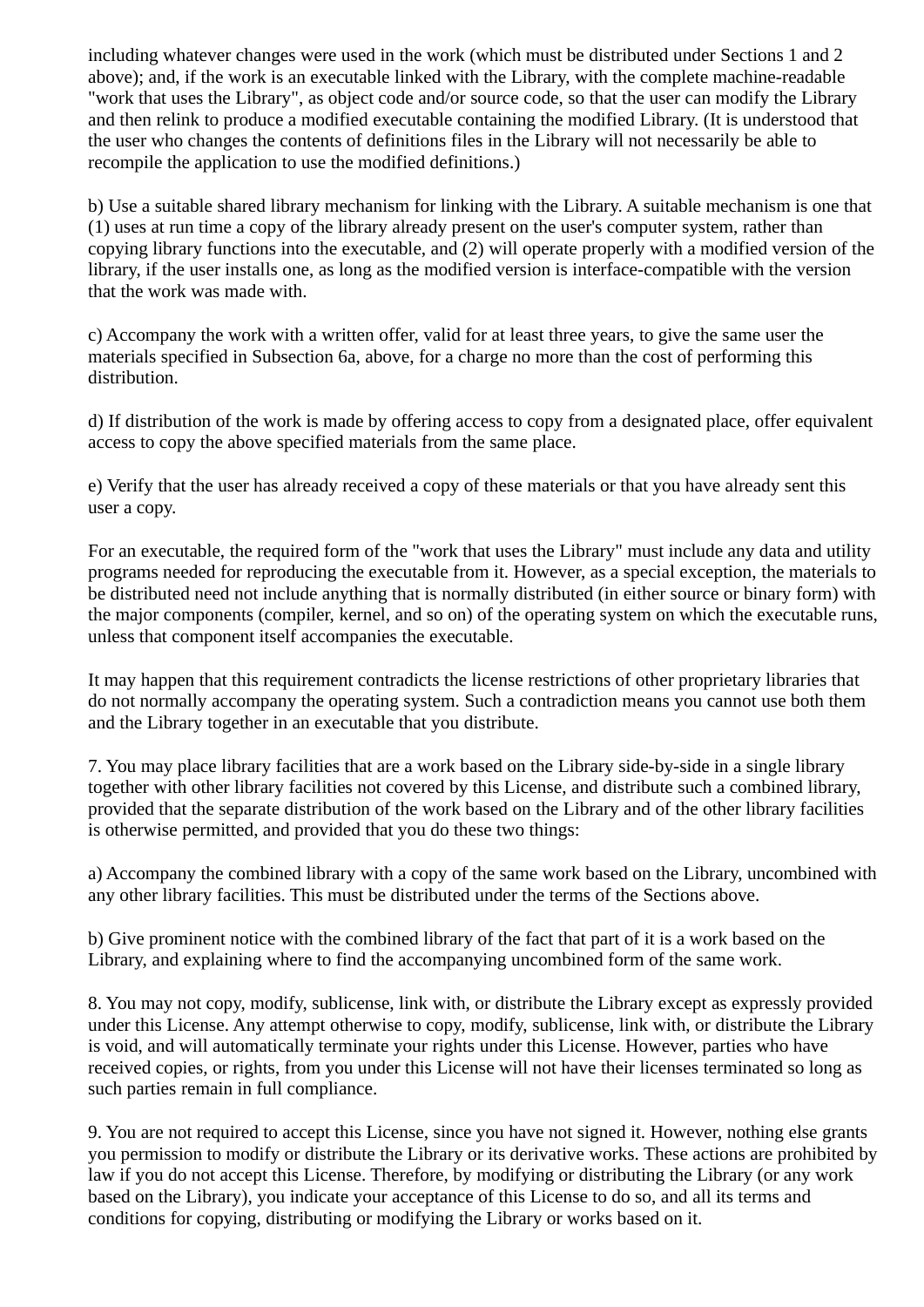including whatever changes were used in the work (which must be distributed under Sections 1 and 2 above); and, if the work is an executable linked with the Library, with the complete machine-readable "work that uses the Library", as object code and/or source code, so that the user can modify the Library and then relink to produce a modified executable containing the modified Library. (It is understood that the user who changes the contents of definitions files in the Library will not necessarily be able to recompile the application to use the modified definitions.)

b) Use a suitable shared library mechanism for linking with the Library. A suitable mechanism is one that (1) uses at run time a copy of the library already present on the user's computer system, rather than copying library functions into the executable, and (2) will operate properly with a modified version of the library, if the user installs one, as long as the modified version is interface-compatible with the version that the work was made with.

c) Accompany the work with a written offer, valid for at least three years, to give the same user the materials specified in Subsection 6a, above, for a charge no more than the cost of performing this distribution.

d) If distribution of the work is made by offering access to copy from a designated place, offer equivalent access to copy the above specified materials from the same place.

e) Verify that the user has already received a copy of these materials or that you have already sent this user a copy.

For an executable, the required form of the "work that uses the Library" must include any data and utility programs needed for reproducing the executable from it. However, as a special exception, the materials to be distributed need not include anything that is normally distributed (in either source or binary form) with the major components (compiler, kernel, and so on) of the operating system on which the executable runs, unless that component itself accompanies the executable.

It may happen that this requirement contradicts the license restrictions of other proprietary libraries that do not normally accompany the operating system. Such a contradiction means you cannot use both them and the Library together in an executable that you distribute.

7. You may place library facilities that are a work based on the Library side-by-side in a single library together with other library facilities not covered by this License, and distribute such a combined library, provided that the separate distribution of the work based on the Library and of the other library facilities is otherwise permitted, and provided that you do these two things:

a) Accompany the combined library with a copy of the same work based on the Library, uncombined with any other library facilities. This must be distributed under the terms of the Sections above.

b) Give prominent notice with the combined library of the fact that part of it is a work based on the Library, and explaining where to find the accompanying uncombined form of the same work.

8. You may not copy, modify, sublicense, link with, or distribute the Library except as expressly provided under this License. Any attempt otherwise to copy, modify, sublicense, link with, or distribute the Library is void, and will automatically terminate your rights under this License. However, parties who have received copies, or rights, from you under this License will not have their licenses terminated so long as such parties remain in full compliance.

9. You are not required to accept this License, since you have not signed it. However, nothing else grants you permission to modify or distribute the Library or its derivative works. These actions are prohibited by law if you do not accept this License. Therefore, by modifying or distributing the Library (or any work based on the Library), you indicate your acceptance of this License to do so, and all its terms and conditions for copying, distributing or modifying the Library or works based on it.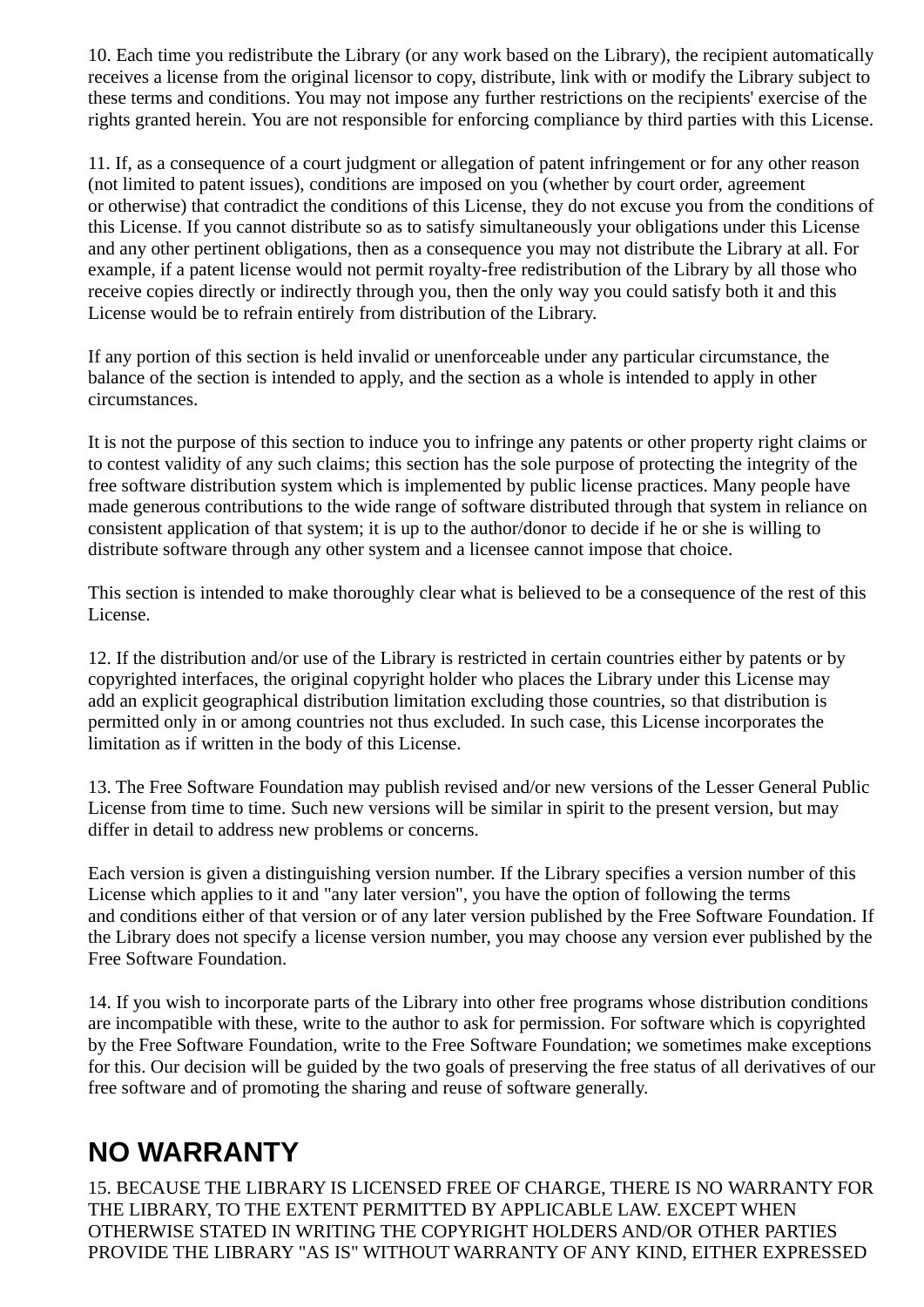10. Each time you redistribute the Library (or any work based on the Library), the recipient automatically receives a license from the original licensor to copy, distribute, link with or modify the Library subject to these terms and conditions. You may not impose any further restrictions on the recipients' exercise of the rights granted herein. You are not responsible for enforcing compliance by third parties with this License.

11. If, as a consequence of a court judgment or allegation of patent infringement or for any other reason (not limited to patent issues), conditions are imposed on you (whether by court order, agreement or otherwise) that contradict the conditions of this License, they do not excuse you from the conditions of this License. If you cannot distribute so as to satisfy simultaneously your obligations under this License and any other pertinent obligations, then as a consequence you may not distribute the Library at all. For example, if a patent license would not permit royalty-free redistribution of the Library by all those who receive copies directly or indirectly through you, then the only way you could satisfy both it and this License would be to refrain entirely from distribution of the Library.

If any portion of this section is held invalid or unenforceable under any particular circumstance, the balance of the section is intended to apply, and the section as a whole is intended to apply in other circumstances.

It is not the purpose of this section to induce you to infringe any patents or other property right claims or to contest validity of any such claims; this section has the sole purpose of protecting the integrity of the free software distribution system which is implemented by public license practices. Many people have made generous contributions to the wide range of software distributed through that system in reliance on consistent application of that system; it is up to the author/donor to decide if he or she is willing to distribute software through any other system and a licensee cannot impose that choice.

This section is intended to make thoroughly clear what is believed to be a consequence of the rest of this License.

12. If the distribution and/or use of the Library is restricted in certain countries either by patents or by copyrighted interfaces, the original copyright holder who places the Library under this License may add an explicit geographical distribution limitation excluding those countries, so that distribution is permitted only in or among countries not thus excluded. In such case, this License incorporates the limitation as if written in the body of this License.

13. The Free Software Foundation may publish revised and/or new versions of the Lesser General Public License from time to time. Such new versions will be similar in spirit to the present version, but may differ in detail to address new problems or concerns.

Each version is given a distinguishing version number. If the Library specifies a version number of this License which applies to it and "any later version", you have the option of following the terms and conditions either of that version or of any later version published by the Free Software Foundation. If the Library does not specify a license version number, you may choose any version ever published by the Free Software Foundation.

14. If you wish to incorporate parts of the Library into other free programs whose distribution conditions are incompatible with these, write to the author to ask for permission. For software which is copyrighted by the Free Software Foundation, write to the Free Software Foundation; we sometimes make exceptions for this. Our decision will be guided by the two goals of preserving the free status of all derivatives of our free software and of promoting the sharing and reuse of software generally.

## **NO WARRANTY**

15. BECAUSE THE LIBRARY IS LICENSED FREE OF CHARGE, THERE IS NO WARRANTY FOR THE LIBRARY, TO THE EXTENT PERMITTED BY APPLICABLE LAW. EXCEPT WHEN OTHERWISE STATED IN WRITING THE COPYRIGHT HOLDERS AND/OR OTHER PARTIES PROVIDE THE LIBRARY "AS IS" WITHOUT WARRANTY OF ANY KIND, EITHER EXPRESSED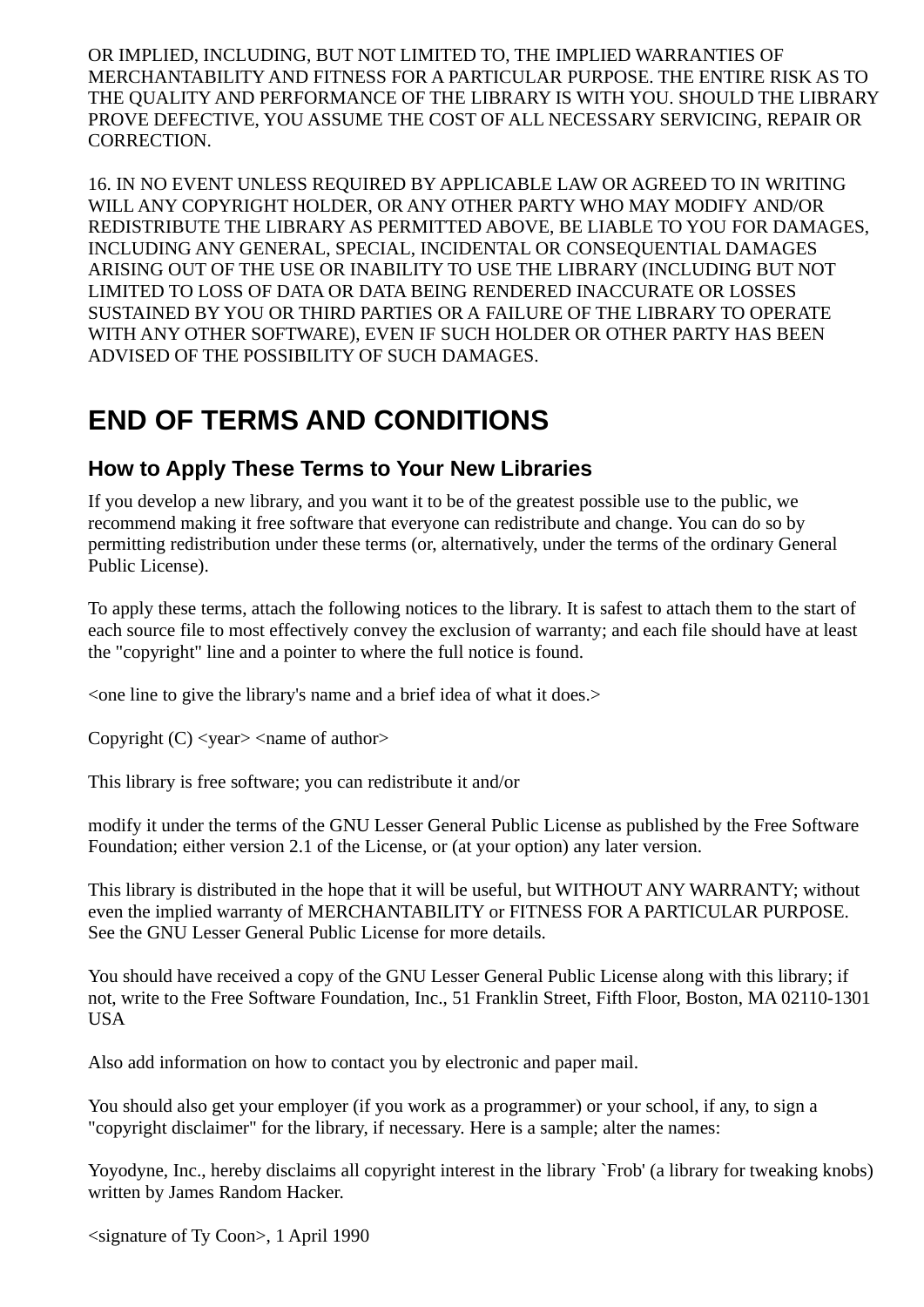OR IMPLIED, INCLUDING, BUT NOT LIMITED TO, THE IMPLIED WARRANTIES OF MERCHANTABILITY AND FITNESS FOR A PARTICULAR PURPOSE. THE ENTIRE RISK AS TO THE QUALITY AND PERFORMANCE OF THE LIBRARY IS WITH YOU. SHOULD THE LIBRARY PROVE DEFECTIVE, YOU ASSUME THE COST OF ALL NECESSARY SERVICING, REPAIR OR CORRECTION.

16. IN NO EVENT UNLESS REQUIRED BY APPLICABLE LAW OR AGREED TO IN WRITING WILL ANY COPYRIGHT HOLDER, OR ANY OTHER PARTY WHO MAY MODIFY AND/OR REDISTRIBUTE THE LIBRARY AS PERMITTED ABOVE, BE LIABLE TO YOU FOR DAMAGES, INCLUDING ANY GENERAL, SPECIAL, INCIDENTAL OR CONSEQUENTIAL DAMAGES ARISING OUT OF THE USE OR INABILITY TO USE THE LIBRARY (INCLUDING BUT NOT LIMITED TO LOSS OF DATA OR DATA BEING RENDERED INACCURATE OR LOSSES SUSTAINED BY YOU OR THIRD PARTIES OR A FAILURE OF THE LIBRARY TO OPERATE WITH ANY OTHER SOFTWARE), EVEN IF SUCH HOLDER OR OTHER PARTY HAS BEEN ADVISED OF THE POSSIBILITY OF SUCH DAMAGES.

### **END OF TERMS AND CONDITIONS**

#### **How to Apply These Terms to Your New Libraries**

If you develop a new library, and you want it to be of the greatest possible use to the public, we recommend making it free software that everyone can redistribute and change. You can do so by permitting redistribution under these terms (or, alternatively, under the terms of the ordinary General Public License).

To apply these terms, attach the following notices to the library. It is safest to attach them to the start of each source file to most effectively convey the exclusion of warranty; and each file should have at least the "copyright" line and a pointer to where the full notice is found.

<one line to give the library's name and a brief idea of what it does.>

Copyright  $(C)$  <year> <name of author>

This library is free software; you can redistribute it and/or

modify it under the terms of the GNU Lesser General Public License as published by the Free Software Foundation; either version 2.1 of the License, or (at your option) any later version.

This library is distributed in the hope that it will be useful, but WITHOUT ANY WARRANTY; without even the implied warranty of MERCHANTABILITY or FITNESS FOR A PARTICULAR PURPOSE. See the GNU Lesser General Public License for more details.

You should have received a copy of the GNU Lesser General Public License along with this library; if not, write to the Free Software Foundation, Inc., 51 Franklin Street, Fifth Floor, Boston, MA 02110-1301 USA

Also add information on how to contact you by electronic and paper mail.

You should also get your employer (if you work as a programmer) or your school, if any, to sign a "copyright disclaimer" for the library, if necessary. Here is a sample; alter the names:

Yoyodyne, Inc., hereby disclaims all copyright interest in the library `Frob' (a library for tweaking knobs) written by James Random Hacker.

<signature of Ty Coon>, 1 April 1990